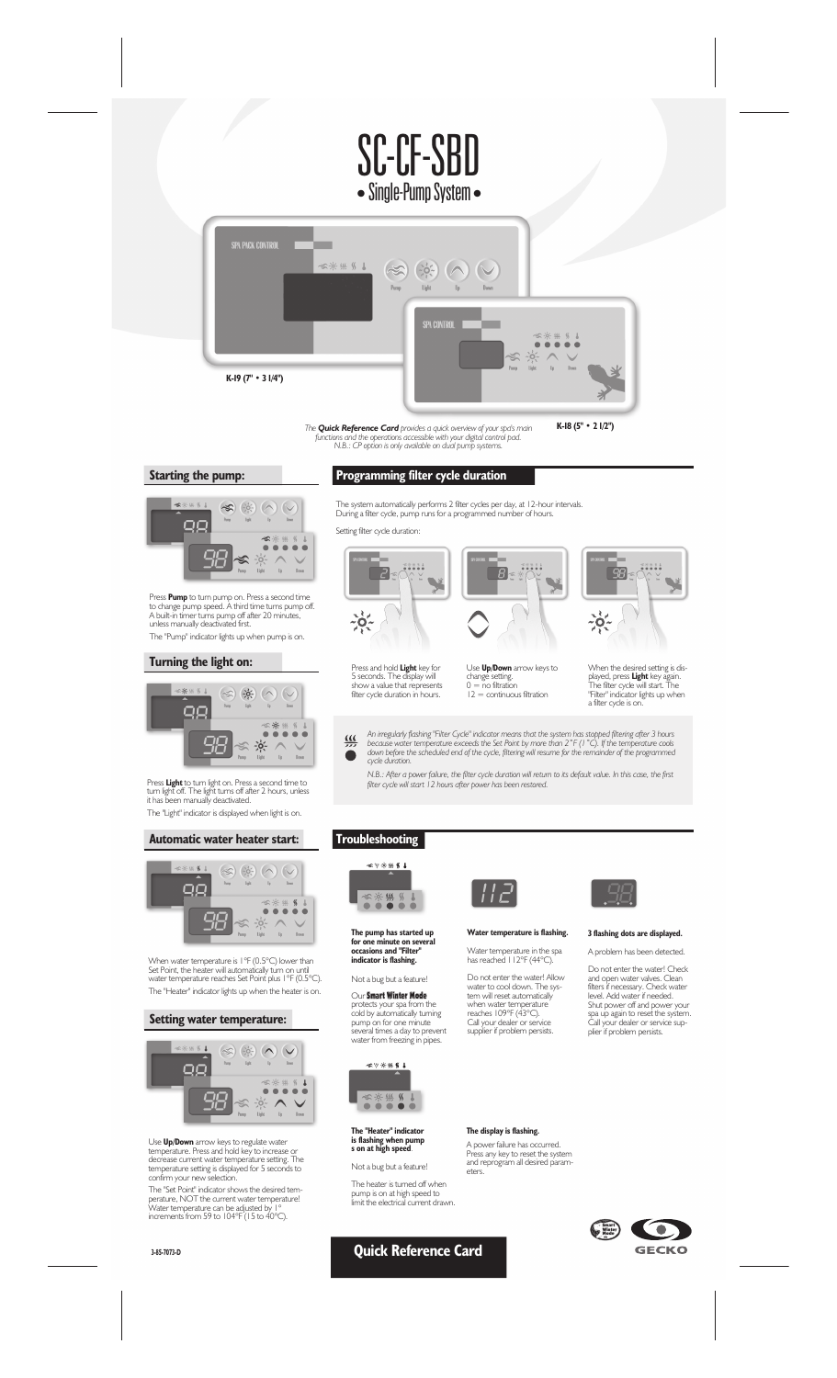# SC-CF-SBD • Single-Pump System •



The **Quick Reference Card** provides a quick overview of your spa's main<br>functions and the operations accessible with your digital control pad.<br>N.B.: CP option is only available on dual pump systems.

**K-18 (5'' • 2 1/2'')**





Press **Pump** to turn pump on. Press a second time<br>to change pump speed. A third time turns pump off.<br>A built-in timer turns pump off after 20 minutes,<br>unless manually deactivated first. The "Pump" indicator lights up when pump is on.

## **Turning the light on:**



Press **Light** to turn light on. Press a second time to turn light off. The light turns off after 2 hours, unless it has been manually deactivated. The "Light" indicator is displayed when light is on.

#### **Automatic water heater start:**



When water temperature is 1°F (0.5°C) lower than Set Point, the heater will automatically turn on until water temperature reaches Set Point plus 1°F (0.5°C). The "Heater" indicator lights up when the heater is on.

#### **Setting water temperature:**



Use **Up/Down** arrow keys to regulate water<br>temperature. Press and hold key to increase or<br>decrease current water temperature setting. The<br>temperature setting is displayed for 5 seconds to<br>confirm your new selection.

The "Set Point" indicator shows the desired tem-perature, NOT the current water temperature! Water temperature can be adjusted by 1° increments from 59 to 104°F (15 to 40°C).

**3-85-7073-D**

# **Programming filter cycle duration**

The system automatically performs 2 filter cycles per day, at 12-hour intervals. During a filter cycle, pump runs for a programmed number of hours.

Setting filter cycle duration: **B**  $\begin{array}{c} -0.018 & 0.11 \\ 0.01 & 0.010 \\ \end{array}$  $\Box$  $B_{\mathbb{S}}$ E A ¥  $\frac{1}{2}$  $\frac{1}{2}$ Use **Up/Down** arrow keys to Press and hold **Light** key for 5 seconds. The display will When the desired setting is dischange setting. 0 = no filtration 12 = continuous filtration show a value that represents filter cycle duration in hours.

played, press **Light** key again.<br>The filter cycle will start. The<br>"Filter" indicator lights up when<br>a filter cycle is on.

An irregularly flashing "Filter Cycle" indicator means that the system has stopped filtering after 3 hours<br>because water temperature exceeds the Set Point by more than 2°F (1°C). If the temperature cools<br>down before the sc  $\frac{1}{\sqrt{2}}$  $\bullet$ 

*N.B.: After a power failure, the filter cycle duration will return to its default value. In this case, the first filter cycle will start 12 hours after power has been restored.*

## **Troubleshooting**



**The pump has started up for one minute on several occasions and "Filter" indicator is flashing.**

## Not a bug but a feature!

Our Smart Winter Mode protects your spa from the cold by automatically turning pump on for one minute several times a day to prevent water from freezing in pipes.



**The "Heater" indicator is flashing when pump s on at high speed***.*

Not a bug but a feature!

The heater is turned off when pump is on at high speed to limit the electrical current drawn.

**Quick Reference Card**



# **Water temperature is flashing.**

## Water temperature in the spa has reached 112°F (44°C).

Do not enter the water! Allow<br>water to cool down. The sys-<br>tem will reset automatically<br>when water temperature<br>reaches 109°F (43°C).<br>Call your dealer or service<br>supplier if problem persists.

**The display is flashing.**

eters.



## **3 flashing dots are displayed.**

A problem has been detected.

Do not enter the water! Check<br>and open water valves. Clean<br>filters if necessary. Check water<br>leve!. Add water if needed.<br>Shut power off and power your<br>spa up again to reset the system.<br>Call your dealer or service sup-<br>plie